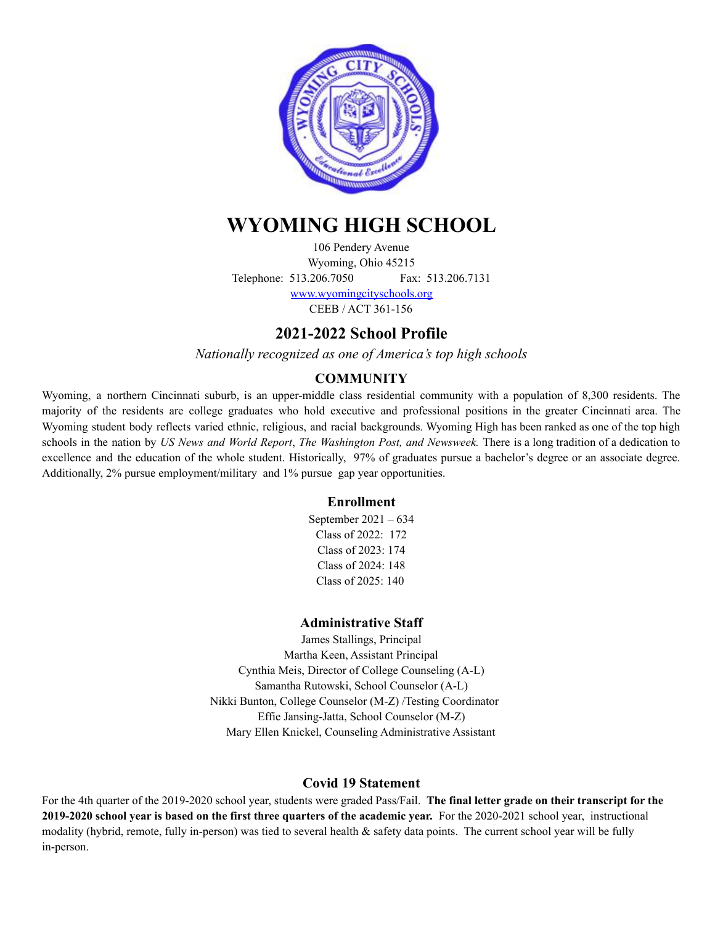

# **WYOMING HIGH SCHOOL**

106 Pendery Avenue Wyoming, Ohio 45215 Telephone: 513.206.7050 Fax: 513.206.7131

> [www.wyomingcityschools.org](http://www.wyomingcityschools.org) CEEB / ACT 361-156

# **2021-2022 School Profile**

*Nationally recognized as one of America's top high schools*

## **COMMUNITY**

Wyoming, a northern Cincinnati suburb, is an upper-middle class residential community with a population of 8,300 residents. The majority of the residents are college graduates who hold executive and professional positions in the greater Cincinnati area. The Wyoming student body reflects varied ethnic, religious, and racial backgrounds. Wyoming High has been ranked as one of the top high schools in the nation by *US News and World Report*, *The Washington Post, and Newsweek.* There is a long tradition of a dedication to excellence and the education of the whole student. Historically, 97% of graduates pursue a bachelor's degree or an associate degree. Additionally, 2% pursue employment/military and 1% pursue gap year opportunities.

### **Enrollment**

September 2021 – 634 Class of 2022: 172 Class of 2023: 174 Class of 2024: 148 Class of 2025: 140

### **Administrative Staff**

James Stallings, Principal Martha Keen, Assistant Principal Cynthia Meis, Director of College Counseling (A-L) Samantha Rutowski, School Counselor (A-L) Nikki Bunton, College Counselor (M-Z) /Testing Coordinator Effie Jansing-Jatta, School Counselor (M-Z) Mary Ellen Knickel, Counseling Administrative Assistant

### **Covid 19 Statement**

For the 4th quarter of the 2019-2020 school year, students were graded Pass/Fail. **The final letter grade on their transcript for the 2019-2020 school year is based on the first three quarters of the academic year.** For the 2020-2021 school year, instructional modality (hybrid, remote, fully in-person) was tied to several health & safety data points. The current school year will be fully in-person.